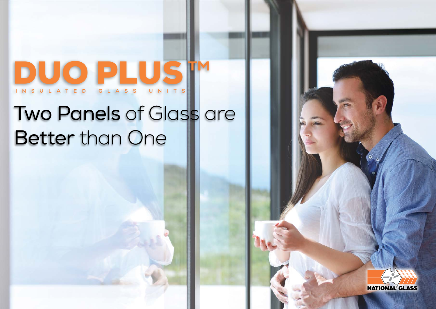# DUO PLUST

# Two Panels of Glass are Better than One

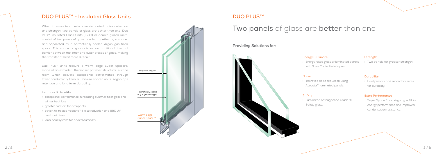When it comes to superior climate control, noise reduction and strength, two panels of glass are better than one. Duo Plus™ Insulated Glass Units (IGU's) or double glazed units, consist of two panes of glass bonded together by a spacer and separated by a hermetically sealed Argon gas filled space. This space or gap acts as an additional thermal barrier between the inner and outer pieces of glass, making the transfer of heat more difficult.

> › Laminated or toughened Grade 'A' Safety glass.

Duo Plus™ units feature a warm edge Super Spacer® made of an extruded, thermoset polymer structural silicone foam which delivers exceptional performance through lower conductivity than aluminium spacer units, Argon gas retention and long term durability.

### Features & Benefits:

- › exceptional performance in reducing summer heat gain and winter heat loss
- › greater comfort for occupants
- › option to include Acousta™ Noise reduction and 99% UV block out glass
- › 'dual seal system' for added durability.

### Energy & Climate

› Energy rated glass or laminated panels with Solar Control interlayers.

### Noise

› Improved noise reduction using Acousta™ laminated panels.

### Safety

### Strength

› Two panels for greater strength.

### **Durability**

› Dual primary and secondary seals for durability.

### Extra Performance

› Super Spacer® and Argon gas fill for energy performance and improved condensation resistance.

### **Providing Solutions for:**



### **DUO PLUS™ - Insulated Glass Units DUO PLUS™** - Insulated Glass Units



# Two panels of glass are better than one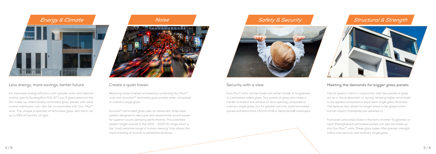

For improved energy efficiency with greater solar and thermal control, specify Sunergy® or SOL-R™ Low-E glass options in the IGU make-up. Alternatively, laminated glass panels with solar control interlayers can also be incorporated into Duo Plus™ units. The unique properties of laminated glass also block out up to 99% of harmful UV light.



Reducing noise is better achieved by combining Duo Plus™ units with Acousta™ laminated glass panels when compared to ordinary single glass.

Acousta™ laminated glass uses an advanced, three layer system designed to decouple and disseminate sound waves for superior sound damping performance. This patented system target sounds in the 1000 – 3000 Hz range which is the "most sensitive range of human hearing" that allows the most irritating of sounds to penetrate windows.

# **Safety & Security**



Duo Plus™ units can be made with either Grade 'A' Toughened or Laminated safety glass. Two panels of glass also make it harder to breach the window or door opening compared to ordinary single glass, but for greater security, build laminated panels with extra thick 1.52mm PVB or SentryGlas® interlayers.

### Structural & Strength



The air space in IGU's in conjunction with two panels of glass act as a 'shock absorber' or 'spring' allowing higher wind loads to be applied compared to equivalent single glass thickness. This feature also allows for larger areas to be glazed when human impact Standards are adhered to.

Furnaced Laminated Glass in the form of either Toughened or Heat Strengthened Laminated panels can also be made up into Duo Plus™ units. These glass types offer greater strength, safety and security over ordinary single glass.

### Less energy, more savings, better future Create a quiet haven Security with a view **Meeting the demands for bigger glass panels**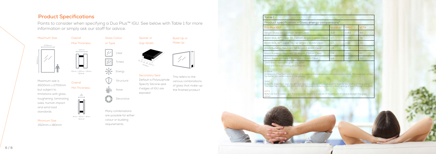

| <b>Table 1</b>                                    |         |             |      |
|---------------------------------------------------|---------|-------------|------|
| Product specification - Glass energy comparisons* |         |             |      |
| Duo Plus IGU1                                     | U-value | <b>SHGC</b> | VLT% |
| Single Glass comparison 4mm Clear                 | 59      | 0.84        | 89   |
| 4mm SOL-R™ Clear 73 / 12mm Argon / 4mm Clear      | 1.7     | 065         | 74   |
| 6mm SOL-R™ Clear 70 / 12 Argon / 6mm Clear        | 17      | 061         | 72   |
| 4mm Sunergy Neutral / 12 Argon / 4mm Clear        | 1.9     | 0.50        | 60   |
| 6mm Sunergy Neutral / 12 Argon / 6mm Clear        | 1.8     | 050         | 61   |
| 6mm Sunergy Grey / 12 Argon / 6mm Clear           | 1.8     | 0.32        | 30   |

\*Data shown represents glass only values.

1 LowE and Sunergy coating on surface #2.

### U-Value

A measure of the thermal insulation of the glass and expressed as watts per square metre. The lower the number the better the performance of the glazing.

#### SHGC

Refers to Solar Heat Gain Co-efficient and is a common measure used in regards the cooling of the building The lower the number, the more efficient the glass in reducing the sun's direct energy impact through the glass.

Points to consider when specifying a Duo Plus™ IGU. See below with Table 1 for more information or simply ask our staff for advice.

#### VLT %

Refers to the % Visible Light Transmittance. Simply a measure of the amount of natural daylight the glass allows.

Many combinations are possible for either colour or building requirements.



This refers to the various combinations of glass that make-up the finished product.

Minimum Size 350mm x 180mm

### Secondary Seal

Default is Polysulphide. Specify Silicone seal if edges of IGU are exposed.



Max Thickness

Glass Colour or Type



Build Up or Make Up





### **Product Specifications**



 $\frac{1}{20}$  Energy

Structural

Noise



4mm + 8mm + 4mm Spacer

54mm

15mm + 20mm + 19mm Spacer